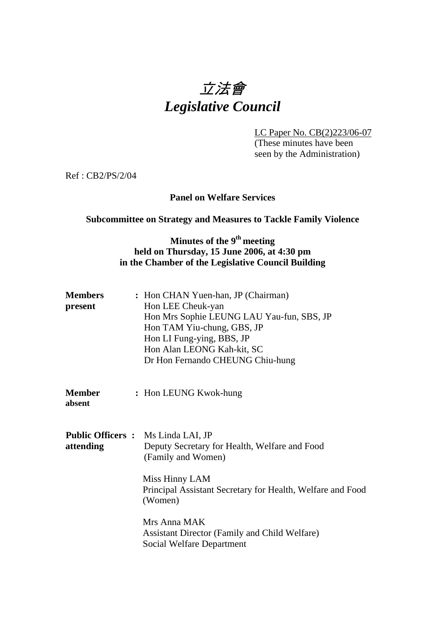# 立法會 *Legislative Council*

LC Paper No. CB(2)223/06-07 (These minutes have been seen by the Administration)

Ref : CB2/PS/2/04

#### **Panel on Welfare Services**

#### **Subcommittee on Strategy and Measures to Tackle Family Violence**

## **Minutes of the 9<sup>th</sup> meeting held on Thursday, 15 June 2006, at 4:30 pm in the Chamber of the Legislative Council Building**

| <b>Members</b><br>present | : Hon CHAN Yuen-han, JP (Chairman)<br>Hon LEE Cheuk-yan<br>Hon Mrs Sophie LEUNG LAU Yau-fun, SBS, JP<br>Hon TAM Yiu-chung, GBS, JP<br>Hon LI Fung-ying, BBS, JP<br>Hon Alan LEONG Kah-kit, SC<br>Dr Hon Fernando CHEUNG Chiu-hung |
|---------------------------|-----------------------------------------------------------------------------------------------------------------------------------------------------------------------------------------------------------------------------------|
| Member<br>absent          | : Hon LEUNG Kwok-hung                                                                                                                                                                                                             |
| attending                 | <b>Public Officers:</b> Ms Linda LAI, JP<br>Deputy Secretary for Health, Welfare and Food<br>(Family and Women)                                                                                                                   |
|                           | Miss Hinny LAM<br>Principal Assistant Secretary for Health, Welfare and Food<br>(Women)                                                                                                                                           |
|                           | Mrs Anna MAK<br><b>Assistant Director (Family and Child Welfare)</b><br>Social Welfare Department                                                                                                                                 |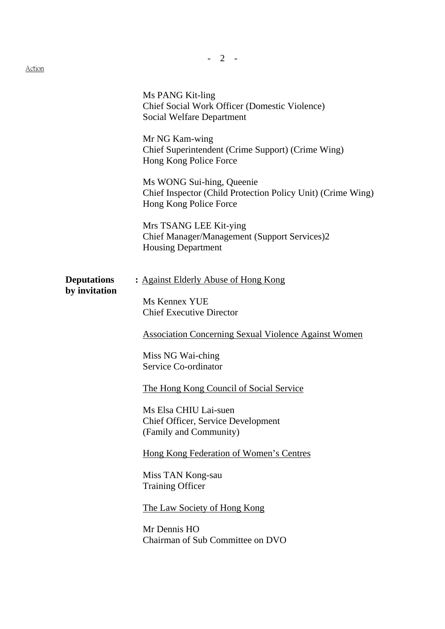Action

Ms PANG Kit-ling Chief Social Work Officer (Domestic Violence) Social Welfare Department Mr NG Kam-wing Chief Superintendent (Crime Support) (Crime Wing) Hong Kong Police Force Ms WONG Sui-hing, Queenie Chief Inspector (Child Protection Policy Unit) (Crime Wing) Hong Kong Police Force Mrs TSANG LEE Kit-ying Chief Manager/Management (Support Services)2 Housing Department **Deputations** : Against Elderly Abuse of Hong Kong **by invitation** Ms Kennex YUE Chief Executive Director Association Concerning Sexual Violence Against Women Miss NG Wai-ching Service Co-ordinator The Hong Kong Council of Social Service Ms Elsa CHIU Lai-suen Chief Officer, Service Development (Family and Community) Hong Kong Federation of Women's Centres Miss TAN Kong-sau Training Officer The Law Society of Hong Kong Mr Dennis HO Chairman of Sub Committee on DVO

- 2 -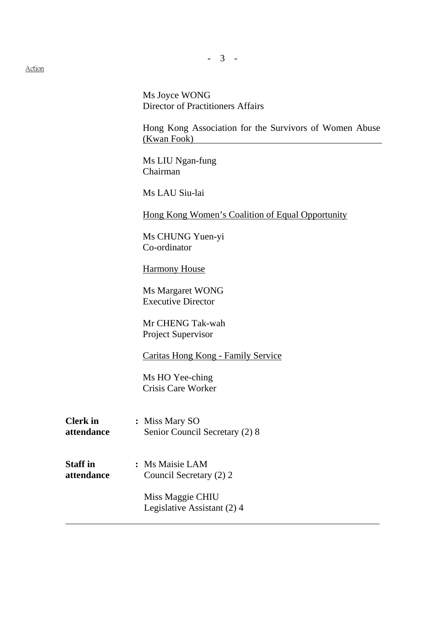Action

Ms Joyce WONG Director of Practitioners Affairs

Hong Kong Association for the Survivors of Women Abuse (Kwan Fook)

Ms LIU Ngan-fung Chairman

Ms LAU Siu-lai

Hong Kong Women's Coalition of Equal Opportunity

Ms CHUNG Yuen-yi Co-ordinator

**Harmony House** 

Ms Margaret WONG Executive Director

Mr CHENG Tak-wah Project Supervisor

Caritas Hong Kong - Family Service

Ms HO Yee-ching Crisis Care Worker

- **Clerk in :** Miss Mary SO **attendance** Senior Council Secretary (2) 8
- **Staff in : Ms Maisie LAM attendance** Council Secretary (2) 2

 Miss Maggie CHIU Legislative Assistant (2) 4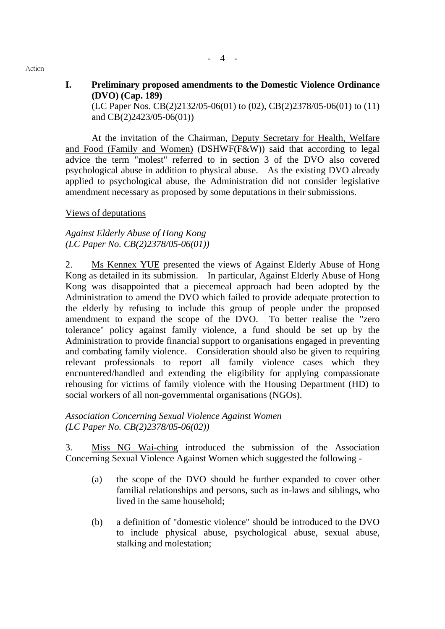#### - 4 -

# **I. Preliminary proposed amendments to the Domestic Violence Ordinance (DVO) (Cap. 189)**

(LC Paper Nos. CB(2)2132/05-06(01) to (02), CB(2)2378/05-06(01) to (11) and CB(2)2423/05-06(01))

 At the invitation of the Chairman, Deputy Secretary for Health, Welfare and Food (Family and Women) (DSHWF(F&W)) said that according to legal advice the term "molest" referred to in section 3 of the DVO also covered psychological abuse in addition to physical abuse. As the existing DVO already applied to psychological abuse, the Administration did not consider legislative amendment necessary as proposed by some deputations in their submissions.

#### Views of deputations

#### *Against Elderly Abuse of Hong Kong (LC Paper No. CB(2)2378/05-06(01))*

2. Ms Kennex YUE presented the views of Against Elderly Abuse of Hong Kong as detailed in its submission. In particular, Against Elderly Abuse of Hong Kong was disappointed that a piecemeal approach had been adopted by the Administration to amend the DVO which failed to provide adequate protection to the elderly by refusing to include this group of people under the proposed amendment to expand the scope of the DVO. To better realise the "zero tolerance" policy against family violence, a fund should be set up by the Administration to provide financial support to organisations engaged in preventing and combating family violence. Consideration should also be given to requiring relevant professionals to report all family violence cases which they encountered/handled and extending the eligibility for applying compassionate rehousing for victims of family violence with the Housing Department (HD) to social workers of all non-governmental organisations (NGOs).

#### *Association Concerning Sexual Violence Against Women (LC Paper No. CB(2)2378/05-06(02))*

3. Miss NG Wai-ching introduced the submission of the Association Concerning Sexual Violence Against Women which suggested the following -

- (a) the scope of the DVO should be further expanded to cover other familial relationships and persons, such as in-laws and siblings, who lived in the same household;
- (b) a definition of "domestic violence" should be introduced to the DVO to include physical abuse, psychological abuse, sexual abuse, stalking and molestation;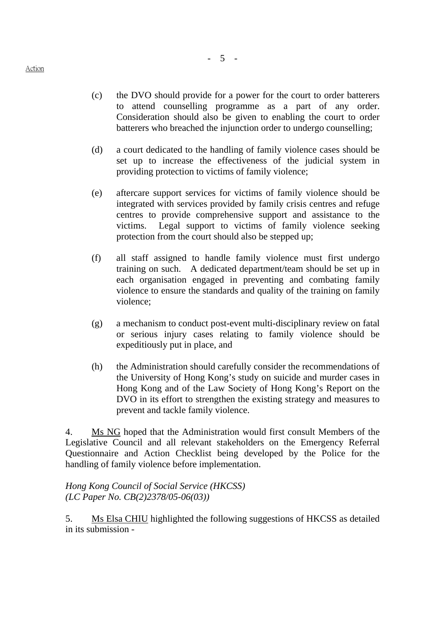- (c) the DVO should provide for a power for the court to order batterers to attend counselling programme as a part of any order. Consideration should also be given to enabling the court to order batterers who breached the injunction order to undergo counselling;
- (d) a court dedicated to the handling of family violence cases should be set up to increase the effectiveness of the judicial system in providing protection to victims of family violence;
- (e) aftercare support services for victims of family violence should be integrated with services provided by family crisis centres and refuge centres to provide comprehensive support and assistance to the victims. Legal support to victims of family violence seeking protection from the court should also be stepped up;
- (f) all staff assigned to handle family violence must first undergo training on such. A dedicated department/team should be set up in each organisation engaged in preventing and combating family violence to ensure the standards and quality of the training on family violence;
- (g) a mechanism to conduct post-event multi-disciplinary review on fatal or serious injury cases relating to family violence should be expeditiously put in place, and
- (h) the Administration should carefully consider the recommendations of the University of Hong Kong's study on suicide and murder cases in Hong Kong and of the Law Society of Hong Kong's Report on the DVO in its effort to strengthen the existing strategy and measures to prevent and tackle family violence.

4. Ms NG hoped that the Administration would first consult Members of the Legislative Council and all relevant stakeholders on the Emergency Referral Questionnaire and Action Checklist being developed by the Police for the handling of family violence before implementation.

*Hong Kong Council of Social Service (HKCSS) (LC Paper No. CB(2)2378/05-06(03))*

5. Ms Elsa CHIU highlighted the following suggestions of HKCSS as detailed in its submission -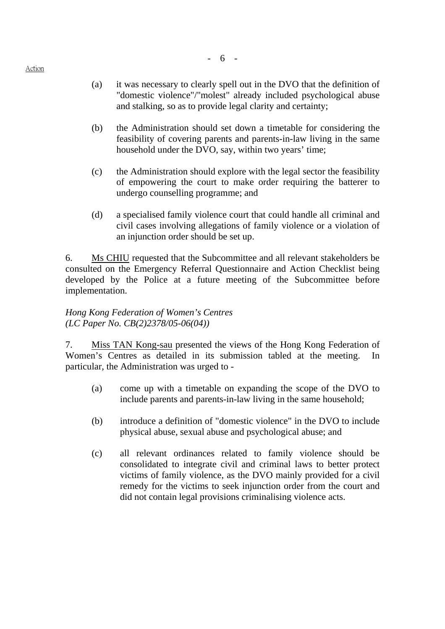- 6 -

- (b) the Administration should set down a timetable for considering the feasibility of covering parents and parents-in-law living in the same household under the DVO, say, within two years' time;
- (c) the Administration should explore with the legal sector the feasibility of empowering the court to make order requiring the batterer to undergo counselling programme; and
- (d) a specialised family violence court that could handle all criminal and civil cases involving allegations of family violence or a violation of an injunction order should be set up.

6. Ms CHIU requested that the Subcommittee and all relevant stakeholders be consulted on the Emergency Referral Questionnaire and Action Checklist being developed by the Police at a future meeting of the Subcommittee before implementation.

### *Hong Kong Federation of Women's Centres (LC Paper No. CB(2)2378/05-06(04))*

7. Miss TAN Kong-sau presented the views of the Hong Kong Federation of Women's Centres as detailed in its submission tabled at the meeting. In particular, the Administration was urged to -

- (a) come up with a timetable on expanding the scope of the DVO to include parents and parents-in-law living in the same household;
- (b) introduce a definition of "domestic violence" in the DVO to include physical abuse, sexual abuse and psychological abuse; and
- (c) all relevant ordinances related to family violence should be consolidated to integrate civil and criminal laws to better protect victims of family violence, as the DVO mainly provided for a civil remedy for the victims to seek injunction order from the court and did not contain legal provisions criminalising violence acts.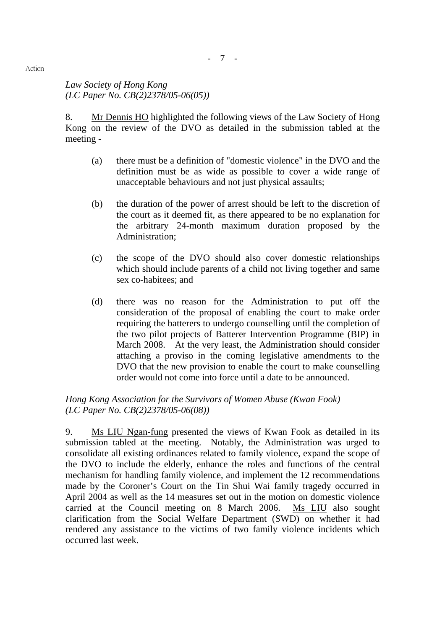*Law Society of Hong Kong (LC Paper No. CB(2)2378/05-06(05))* 

8. Mr Dennis HO highlighted the following views of the Law Society of Hong Kong on the review of the DVO as detailed in the submission tabled at the meeting -

- (a) there must be a definition of "domestic violence" in the DVO and the definition must be as wide as possible to cover a wide range of unacceptable behaviours and not just physical assaults;
- (b) the duration of the power of arrest should be left to the discretion of the court as it deemed fit, as there appeared to be no explanation for the arbitrary 24-month maximum duration proposed by the Administration;
- (c) the scope of the DVO should also cover domestic relationships which should include parents of a child not living together and same sex co-habitees; and
- (d) there was no reason for the Administration to put off the consideration of the proposal of enabling the court to make order requiring the batterers to undergo counselling until the completion of the two pilot projects of Batterer Intervention Programme (BIP) in March 2008. At the very least, the Administration should consider attaching a proviso in the coming legislative amendments to the DVO that the new provision to enable the court to make counselling order would not come into force until a date to be announced.

*Hong Kong Association for the Survivors of Women Abuse (Kwan Fook) (LC Paper No. CB(2)2378/05-06(08))* 

9. Ms LIU Ngan-fung presented the views of Kwan Fook as detailed in its submission tabled at the meeting. Notably, the Administration was urged to consolidate all existing ordinances related to family violence, expand the scope of the DVO to include the elderly, enhance the roles and functions of the central mechanism for handling family violence, and implement the 12 recommendations made by the Coroner's Court on the Tin Shui Wai family tragedy occurred in April 2004 as well as the 14 measures set out in the motion on domestic violence carried at the Council meeting on 8 March 2006. Ms LIU also sought clarification from the Social Welfare Department (SWD) on whether it had rendered any assistance to the victims of two family violence incidents which occurred last week.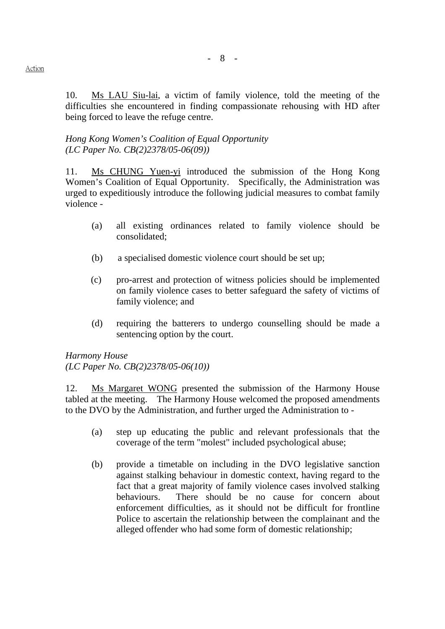10. Ms LAU Siu-lai, a victim of family violence, told the meeting of the difficulties she encountered in finding compassionate rehousing with HD after being forced to leave the refuge centre.

#### *Hong Kong Women's Coalition of Equal Opportunity (LC Paper No. CB(2)2378/05-06(09))*

11. Ms CHUNG Yuen-yi introduced the submission of the Hong Kong Women's Coalition of Equal Opportunity. Specifically, the Administration was urged to expeditiously introduce the following judicial measures to combat family violence -

- (a) all existing ordinances related to family violence should be consolidated;
- (b) a specialised domestic violence court should be set up;
- (c) pro-arrest and protection of witness policies should be implemented on family violence cases to better safeguard the safety of victims of family violence; and
- (d) requiring the batterers to undergo counselling should be made a sentencing option by the court.

*Harmony House (LC Paper No. CB(2)2378/05-06(10))* 

12. Ms Margaret WONG presented the submission of the Harmony House tabled at the meeting. The Harmony House welcomed the proposed amendments to the DVO by the Administration, and further urged the Administration to -

- (a) step up educating the public and relevant professionals that the coverage of the term "molest" included psychological abuse;
- (b) provide a timetable on including in the DVO legislative sanction against stalking behaviour in domestic context, having regard to the fact that a great majority of family violence cases involved stalking behaviours. There should be no cause for concern about enforcement difficulties, as it should not be difficult for frontline Police to ascertain the relationship between the complainant and the alleged offender who had some form of domestic relationship;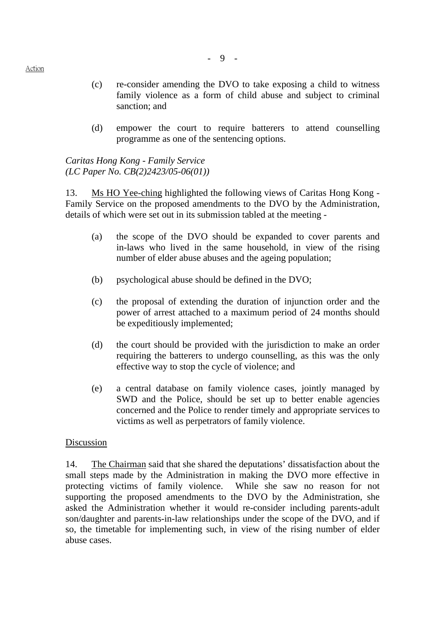- (c) re-consider amending the DVO to take exposing a child to witness family violence as a form of child abuse and subject to criminal sanction; and
- (d) empower the court to require batterers to attend counselling programme as one of the sentencing options.

*Caritas Hong Kong - Family Service (LC Paper No. CB(2)2423/05-06(01))* 

13. Ms HO Yee-ching highlighted the following views of Caritas Hong Kong -Family Service on the proposed amendments to the DVO by the Administration, details of which were set out in its submission tabled at the meeting -

- (a) the scope of the DVO should be expanded to cover parents and in-laws who lived in the same household, in view of the rising number of elder abuse abuses and the ageing population;
- (b) psychological abuse should be defined in the DVO;
- (c) the proposal of extending the duration of injunction order and the power of arrest attached to a maximum period of 24 months should be expeditiously implemented;
- (d) the court should be provided with the jurisdiction to make an order requiring the batterers to undergo counselling, as this was the only effective way to stop the cycle of violence; and
- (e) a central database on family violence cases, jointly managed by SWD and the Police, should be set up to better enable agencies concerned and the Police to render timely and appropriate services to victims as well as perpetrators of family violence.

### Discussion

14. The Chairman said that she shared the deputations' dissatisfaction about the small steps made by the Administration in making the DVO more effective in protecting victims of family violence. While she saw no reason for not supporting the proposed amendments to the DVO by the Administration, she asked the Administration whether it would re-consider including parents-adult son/daughter and parents-in-law relationships under the scope of the DVO, and if so, the timetable for implementing such, in view of the rising number of elder abuse cases.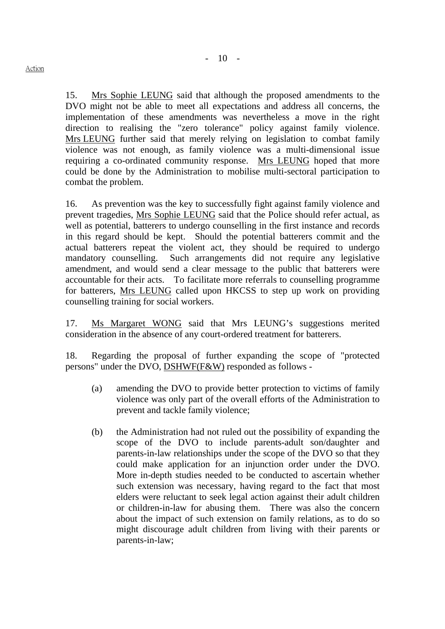15. Mrs Sophie LEUNG said that although the proposed amendments to the DVO might not be able to meet all expectations and address all concerns, the implementation of these amendments was nevertheless a move in the right direction to realising the "zero tolerance" policy against family violence.

Mrs LEUNG further said that merely relying on legislation to combat family violence was not enough, as family violence was a multi-dimensional issue requiring a co-ordinated community response. Mrs LEUNG hoped that more could be done by the Administration to mobilise multi-sectoral participation to combat the problem.

16. As prevention was the key to successfully fight against family violence and prevent tragedies, Mrs Sophie LEUNG said that the Police should refer actual, as well as potential, batterers to undergo counselling in the first instance and records in this regard should be kept. Should the potential batterers commit and the actual batterers repeat the violent act, they should be required to undergo mandatory counselling. Such arrangements did not require any legislative amendment, and would send a clear message to the public that batterers were accountable for their acts. To facilitate more referrals to counselling programme for batterers, Mrs LEUNG called upon HKCSS to step up work on providing counselling training for social workers.

17. Ms Margaret WONG said that Mrs LEUNG's suggestions merited consideration in the absence of any court-ordered treatment for batterers.

18. Regarding the proposal of further expanding the scope of "protected persons" under the DVO, DSHWF(F&W) responded as follows -

- (a) amending the DVO to provide better protection to victims of family violence was only part of the overall efforts of the Administration to prevent and tackle family violence;
- (b) the Administration had not ruled out the possibility of expanding the scope of the DVO to include parents-adult son/daughter and parents-in-law relationships under the scope of the DVO so that they could make application for an injunction order under the DVO. More in-depth studies needed to be conducted to ascertain whether such extension was necessary, having regard to the fact that most elders were reluctant to seek legal action against their adult children or children-in-law for abusing them. There was also the concern about the impact of such extension on family relations, as to do so might discourage adult children from living with their parents or parents-in-law;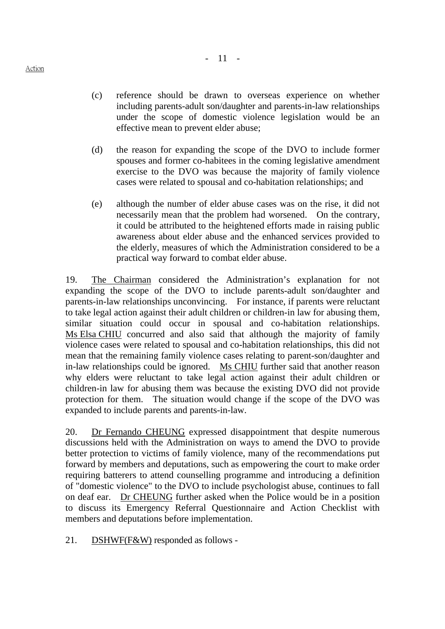- (c) reference should be drawn to overseas experience on whether including parents-adult son/daughter and parents-in-law relationships under the scope of domestic violence legislation would be an effective mean to prevent elder abuse;
- (d) the reason for expanding the scope of the DVO to include former spouses and former co-habitees in the coming legislative amendment exercise to the DVO was because the majority of family violence cases were related to spousal and co-habitation relationships; and
- (e) although the number of elder abuse cases was on the rise, it did not necessarily mean that the problem had worsened. On the contrary, it could be attributed to the heightened efforts made in raising public awareness about elder abuse and the enhanced services provided to the elderly, measures of which the Administration considered to be a practical way forward to combat elder abuse.

19. The Chairman considered the Administration's explanation for not expanding the scope of the DVO to include parents-adult son/daughter and parents-in-law relationships unconvincing. For instance, if parents were reluctant to take legal action against their adult children or children-in law for abusing them, similar situation could occur in spousal and co-habitation relationships. Ms Elsa CHIU concurred and also said that although the majority of family violence cases were related to spousal and co-habitation relationships, this did not mean that the remaining family violence cases relating to parent-son/daughter and in-law relationships could be ignored. Ms CHIU further said that another reason why elders were reluctant to take legal action against their adult children or children-in law for abusing them was because the existing DVO did not provide protection for them. The situation would change if the scope of the DVO was expanded to include parents and parents-in-law.

20. Dr Fernando CHEUNG expressed disappointment that despite numerous discussions held with the Administration on ways to amend the DVO to provide better protection to victims of family violence, many of the recommendations put forward by members and deputations, such as empowering the court to make order requiring batterers to attend counselling programme and introducing a definition of "domestic violence" to the DVO to include psychologist abuse, continues to fall on deaf ear. Dr CHEUNG further asked when the Police would be in a position to discuss its Emergency Referral Questionnaire and Action Checklist with members and deputations before implementation.

21. DSHWF(F&W) responded as follows -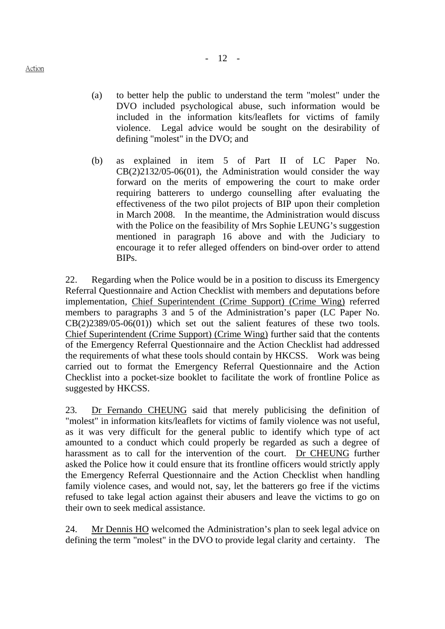- (a) to better help the public to understand the term "molest" under the DVO included psychological abuse, such information would be included in the information kits/leaflets for victims of family violence. Legal advice would be sought on the desirability of defining "molest" in the DVO; and
- (b) as explained in item 5 of Part II of LC Paper No.  $CB(2)2132/05-06(01)$ , the Administration would consider the way forward on the merits of empowering the court to make order requiring batterers to undergo counselling after evaluating the effectiveness of the two pilot projects of BIP upon their completion in March 2008. In the meantime, the Administration would discuss with the Police on the feasibility of Mrs Sophie LEUNG's suggestion mentioned in paragraph 16 above and with the Judiciary to encourage it to refer alleged offenders on bind-over order to attend BIPs.

22. Regarding when the Police would be in a position to discuss its Emergency Referral Questionnaire and Action Checklist with members and deputations before implementation, Chief Superintendent (Crime Support) (Crime Wing) referred members to paragraphs 3 and 5 of the Administration's paper (LC Paper No.  $CB(2)2389/05-06(01)$  which set out the salient features of these two tools. Chief Superintendent (Crime Support) (Crime Wing) further said that the contents of the Emergency Referral Questionnaire and the Action Checklist had addressed the requirements of what these tools should contain by HKCSS. Work was being carried out to format the Emergency Referral Questionnaire and the Action Checklist into a pocket-size booklet to facilitate the work of frontline Police as suggested by HKCSS.

23. Dr Fernando CHEUNG said that merely publicising the definition of "molest" in information kits/leaflets for victims of family violence was not useful, as it was very difficult for the general public to identify which type of act amounted to a conduct which could properly be regarded as such a degree of harassment as to call for the intervention of the court. Dr CHEUNG further asked the Police how it could ensure that its frontline officers would strictly apply the Emergency Referral Questionnaire and the Action Checklist when handling family violence cases, and would not, say, let the batterers go free if the victims refused to take legal action against their abusers and leave the victims to go on their own to seek medical assistance.

24. Mr Dennis HO welcomed the Administration's plan to seek legal advice on defining the term "molest" in the DVO to provide legal clarity and certainty. The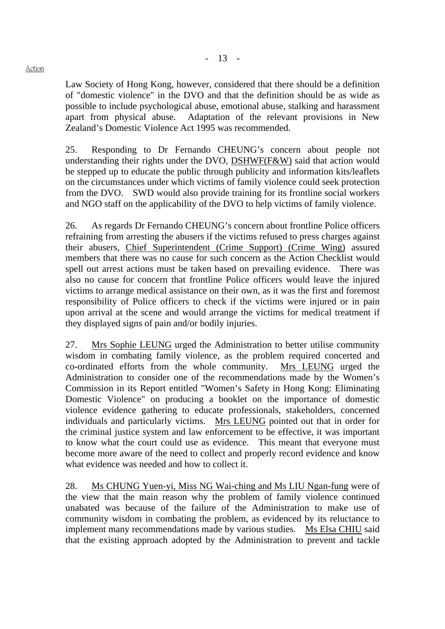#### Action

Law Society of Hong Kong, however, considered that there should be a definition of "domestic violence" in the DVO and that the definition should be as wide as possible to include psychological abuse, emotional abuse, stalking and harassment apart from physical abuse. Adaptation of the relevant provisions in New Zealand's Domestic Violence Act 1995 was recommended.

25. Responding to Dr Fernando CHEUNG's concern about people not understanding their rights under the DVO, DSHWF(F&W) said that action would be stepped up to educate the public through publicity and information kits/leaflets on the circumstances under which victims of family violence could seek protection from the DVO. SWD would also provide training for its frontline social workers and NGO staff on the applicability of the DVO to help victims of family violence.

26. As regards Dr Fernando CHEUNG's concern about frontline Police officers refraining from arresting the abusers if the victims refused to press charges against their abusers, Chief Superintendent (Crime Support) (Crime Wing) assured members that there was no cause for such concern as the Action Checklist would spell out arrest actions must be taken based on prevailing evidence. There was also no cause for concern that frontline Police officers would leave the injured victims to arrange medical assistance on their own, as it was the first and foremost responsibility of Police officers to check if the victims were injured or in pain upon arrival at the scene and would arrange the victims for medical treatment if they displayed signs of pain and/or bodily injuries.

27. Mrs Sophie LEUNG urged the Administration to better utilise community wisdom in combating family violence, as the problem required concerted and co-ordinated efforts from the whole community. Mrs LEUNG urged the Administration to consider one of the recommendations made by the Women's Commission in its Report entitled "Women's Safety in Hong Kong: Eliminating Domestic Violence" on producing a booklet on the importance of domestic violence evidence gathering to educate professionals, stakeholders, concerned individuals and particularly victims. Mrs LEUNG pointed out that in order for the criminal justice system and law enforcement to be effective, it was important to know what the court could use as evidence. This meant that everyone must become more aware of the need to collect and properly record evidence and know what evidence was needed and how to collect it.

28. Ms CHUNG Yuen-yi, Miss NG Wai-ching and Ms LIU Ngan-fung were of the view that the main reason why the problem of family violence continued unabated was because of the failure of the Administration to make use of community wisdom in combating the problem, as evidenced by its reluctance to implement many recommendations made by various studies. Ms Elsa CHIU said that the existing approach adopted by the Administration to prevent and tackle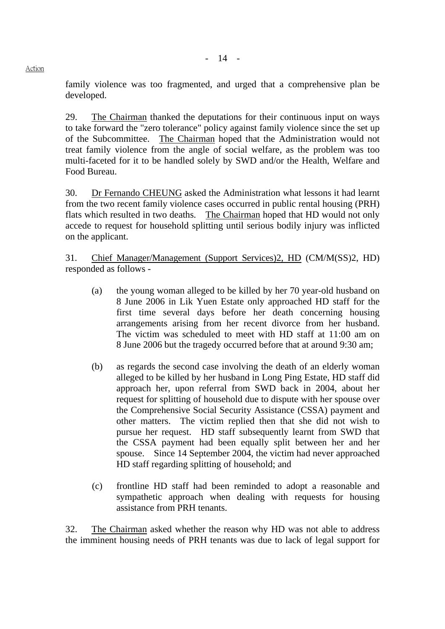family violence was too fragmented, and urged that a comprehensive plan be developed.

29. The Chairman thanked the deputations for their continuous input on ways to take forward the "zero tolerance" policy against family violence since the set up of the Subcommittee. The Chairman hoped that the Administration would not treat family violence from the angle of social welfare, as the problem was too multi-faceted for it to be handled solely by SWD and/or the Health, Welfare and Food Bureau.

30. Dr Fernando CHEUNG asked the Administration what lessons it had learnt from the two recent family violence cases occurred in public rental housing (PRH) flats which resulted in two deaths. The Chairman hoped that HD would not only accede to request for household splitting until serious bodily injury was inflicted on the applicant.

31. Chief Manager/Management (Support Services)2, HD (CM/M(SS)2, HD) responded as follows -

- (a) the young woman alleged to be killed by her 70 year-old husband on 8 June 2006 in Lik Yuen Estate only approached HD staff for the first time several days before her death concerning housing arrangements arising from her recent divorce from her husband. The victim was scheduled to meet with HD staff at 11:00 am on 8 June 2006 but the tragedy occurred before that at around 9:30 am;
- (b) as regards the second case involving the death of an elderly woman alleged to be killed by her husband in Long Ping Estate, HD staff did approach her, upon referral from SWD back in 2004, about her request for splitting of household due to dispute with her spouse over the Comprehensive Social Security Assistance (CSSA) payment and other matters. The victim replied then that she did not wish to pursue her request. HD staff subsequently learnt from SWD that the CSSA payment had been equally split between her and her spouse. Since 14 September 2004, the victim had never approached HD staff regarding splitting of household; and
- (c) frontline HD staff had been reminded to adopt a reasonable and sympathetic approach when dealing with requests for housing assistance from PRH tenants.

32. The Chairman asked whether the reason why HD was not able to address the imminent housing needs of PRH tenants was due to lack of legal support for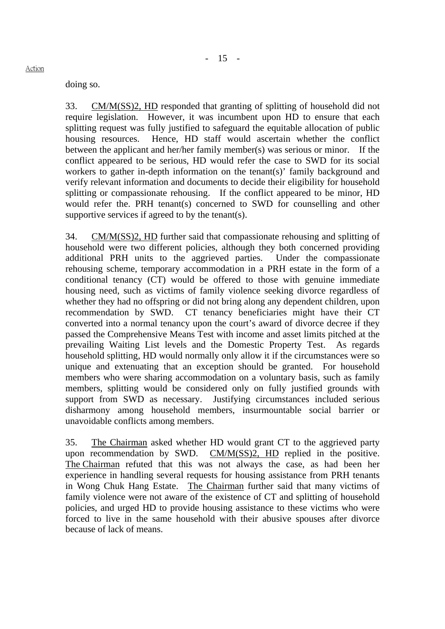doing so.

33. CM/M(SS)2, HD responded that granting of splitting of household did not require legislation. However, it was incumbent upon HD to ensure that each splitting request was fully justified to safeguard the equitable allocation of public housing resources. Hence, HD staff would ascertain whether the conflict between the applicant and her/her family member(s) was serious or minor. If the conflict appeared to be serious, HD would refer the case to SWD for its social workers to gather in-depth information on the tenant(s)' family background and verify relevant information and documents to decide their eligibility for household splitting or compassionate rehousing. If the conflict appeared to be minor, HD would refer the. PRH tenant(s) concerned to SWD for counselling and other supportive services if agreed to by the tenant(s).

34. CM/M(SS)2, HD further said that compassionate rehousing and splitting of household were two different policies, although they both concerned providing additional PRH units to the aggrieved parties. Under the compassionate rehousing scheme, temporary accommodation in a PRH estate in the form of a conditional tenancy (CT) would be offered to those with genuine immediate housing need, such as victims of family violence seeking divorce regardless of whether they had no offspring or did not bring along any dependent children, upon recommendation by SWD. CT tenancy beneficiaries might have their CT converted into a normal tenancy upon the court's award of divorce decree if they passed the Comprehensive Means Test with income and asset limits pitched at the prevailing Waiting List levels and the Domestic Property Test. As regards household splitting, HD would normally only allow it if the circumstances were so unique and extenuating that an exception should be granted. For household members who were sharing accommodation on a voluntary basis, such as family members, splitting would be considered only on fully justified grounds with support from SWD as necessary. Justifying circumstances included serious disharmony among household members, insurmountable social barrier or unavoidable conflicts among members.

35. The Chairman asked whether HD would grant CT to the aggrieved party upon recommendation by SWD. CM/M(SS)2, HD replied in the positive. The Chairman refuted that this was not always the case, as had been her experience in handling several requests for housing assistance from PRH tenants in Wong Chuk Hang Estate. The Chairman further said that many victims of family violence were not aware of the existence of CT and splitting of household policies, and urged HD to provide housing assistance to these victims who were forced to live in the same household with their abusive spouses after divorce because of lack of means.